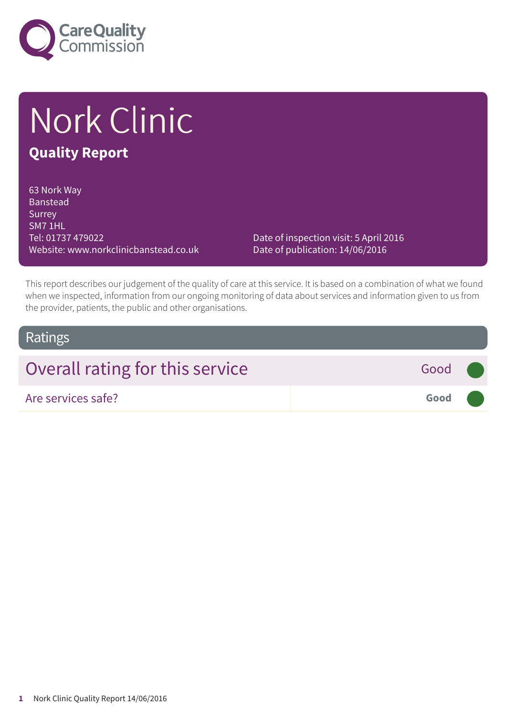

# Nork Clinic

### **Quality Report**

63 Nork Way Banstead **Surrey** SM7 1HL Tel: 01737 479022 Website: www.norkclinicbanstead.co.uk

Date of inspection visit: 5 April 2016 Date of publication: 14/06/2016

This report describes our judgement of the quality of care at this service. It is based on a combination of what we found when we inspected, information from our ongoing monitoring of data about services and information given to us from the provider, patients, the public and other organisations.

### Ratings

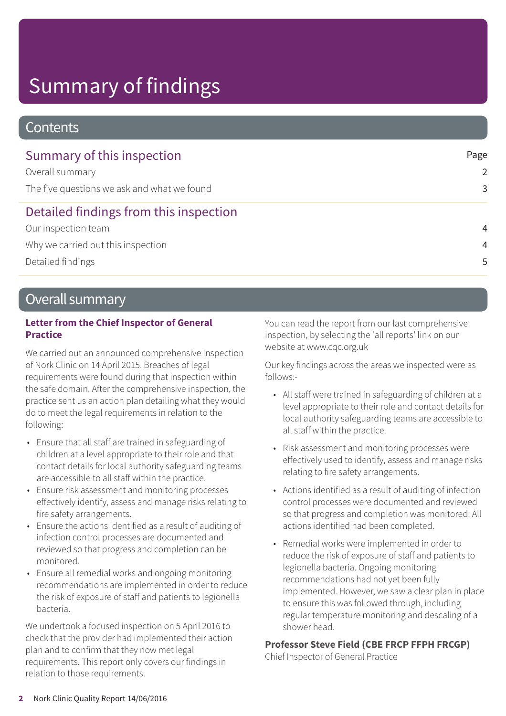# Summary of findings

### **Contents**

| Summary of this inspection                  | Page           |
|---------------------------------------------|----------------|
| Overall summary                             | $\mathcal{P}$  |
| The five questions we ask and what we found | 3              |
| Detailed findings from this inspection      |                |
| Our inspection team                         | $\overline{4}$ |
| Why we carried out this inspection          | $\overline{4}$ |
| Detailed findings                           | 5              |

### Overall summary

#### **Letter from the Chief Inspector of General Practice**

We carried out an announced comprehensive inspection of Nork Clinic on 14 April 2015. Breaches of legal requirements were found during that inspection within the safe domain. After the comprehensive inspection, the practice sent us an action plan detailing what they would do to meet the legal requirements in relation to the following:

- Ensure that all staff are trained in safeguarding of children at a level appropriate to their role and that contact details for local authority safeguarding teams are accessible to all staff within the practice.
- Ensure risk assessment and monitoring processes effectively identify, assess and manage risks relating to fire safety arrangements.
- Ensure the actions identified as a result of auditing of infection control processes are documented and reviewed so that progress and completion can be monitored.
- Ensure all remedial works and ongoing monitoring recommendations are implemented in order to reduce the risk of exposure of staff and patients to legionella bacteria.

We undertook a focused inspection on 5 April 2016 to check that the provider had implemented their action plan and to confirm that they now met legal requirements. This report only covers our findings in relation to those requirements.

You can read the report from our last comprehensive inspection, by selecting the 'all reports' link on our website at www.cqc.org.uk

Our key findings across the areas we inspected were as follows:-

- All staff were trained in safeguarding of children at a level appropriate to their role and contact details for local authority safeguarding teams are accessible to all staff within the practice.
- Risk assessment and monitoring processes were effectively used to identify, assess and manage risks relating to fire safety arrangements.
- Actions identified as a result of auditing of infection control processes were documented and reviewed so that progress and completion was monitored. All actions identified had been completed.
- Remedial works were implemented in order to reduce the risk of exposure of staff and patients to legionella bacteria. Ongoing monitoring recommendations had not yet been fully implemented. However, we saw a clear plan in place to ensure this was followed through, including regular temperature monitoring and descaling of a shower head.

### **Professor Steve Field (CBE FRCP FFPH FRCGP)**

Chief Inspector of General Practice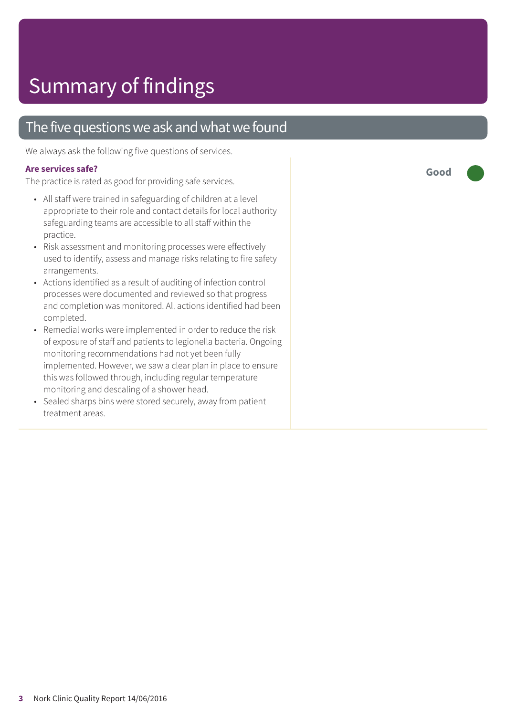### The five questions we ask and what we found

We always ask the following five questions of services.

#### **Are services safe?**

The practice is rated as good for providing safe services.

- All staff were trained in safeguarding of children at a level appropriate to their role and contact details for local authority safeguarding teams are accessible to all staff within the practice.
- Risk assessment and monitoring processes were effectively used to identify, assess and manage risks relating to fire safety arrangements.
- Actions identified as a result of auditing of infection control processes were documented and reviewed so that progress and completion was monitored. All actions identified had been completed.
- Remedial works were implemented in order to reduce the risk of exposure of staff and patients to legionella bacteria. Ongoing monitoring recommendations had not yet been fully implemented. However, we saw a clear plan in place to ensure this was followed through, including regular temperature monitoring and descaling of a shower head.
- Sealed sharps bins were stored securely, away from patient treatment areas.

**Good –––**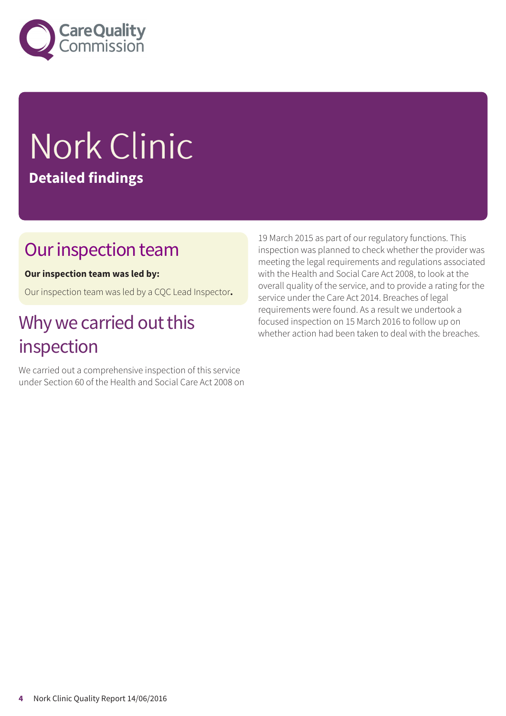

# Nork Clinic **Detailed findings**

### Our inspection team

### **Our inspection team was led by:**

Our inspection team was led by a CQC Lead Inspector**.**

## Why we carried out this inspection

We carried out a comprehensive inspection of this service under Section 60 of the Health and Social Care Act 2008 on 19 March 2015 as part of our regulatory functions. This inspection was planned to check whether the provider was meeting the legal requirements and regulations associated with the Health and Social Care Act 2008, to look at the overall quality of the service, and to provide a rating for the service under the Care Act 2014. Breaches of legal requirements were found. As a result we undertook a focused inspection on 15 March 2016 to follow up on whether action had been taken to deal with the breaches.